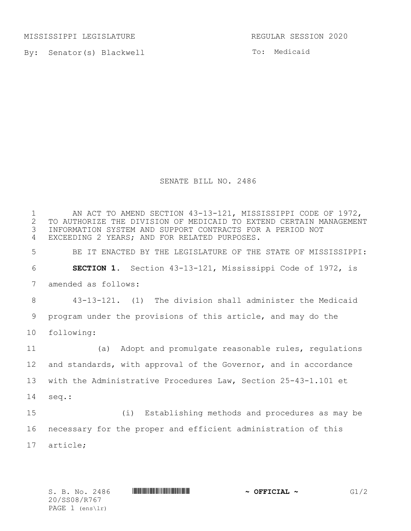MISSISSIPPI LEGISLATURE **REGULAR SESSION 2020** 

By: Senator(s) Blackwell

To: Medicaid

## SENATE BILL NO. 2486

1 AN ACT TO AMEND SECTION 43-13-121, MISSISSIPPI CODE OF 1972,<br>2 TO AUTHORIZE THE DIVISION OF MEDICAID TO EXTEND CERTAIN MANAGEMEN 2 TO AUTHORIZE THE DIVISION OF MEDICAID TO EXTEND CERTAIN MANAGEMENT<br>3 INFORMATION SYSTEM AND SUPPORT CONTRACTS FOR A PERIOD NOT INFORMATION SYSTEM AND SUPPORT CONTRACTS FOR A PERIOD NOT EXCEEDING 2 YEARS; AND FOR RELATED PURPOSES. BE IT ENACTED BY THE LEGISLATURE OF THE STATE OF MISSISSIPPI: **SECTION 1.** Section 43-13-121, Mississippi Code of 1972, is amended as follows: 43-13-121. (1) The division shall administer the Medicaid program under the provisions of this article, and may do the following: (a) Adopt and promulgate reasonable rules, regulations and standards, with approval of the Governor, and in accordance with the Administrative Procedures Law, Section 25-43-1.101 et seq.: (i) Establishing methods and procedures as may be necessary for the proper and efficient administration of this article;

20/SS08/R767 PAGE 1 (ens\lr)

 $S. B. No. 2486$  **\*Source \*SPECIAL ~** G1/2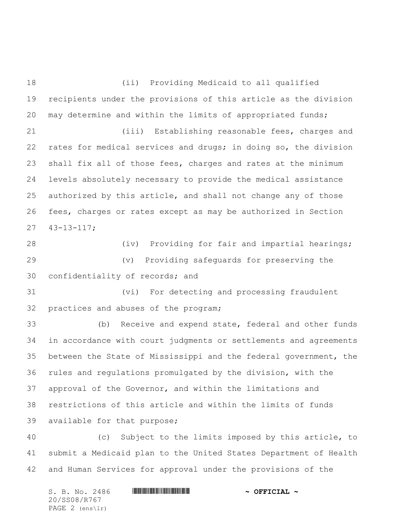(ii) Providing Medicaid to all qualified recipients under the provisions of this article as the division may determine and within the limits of appropriated funds; (iii) Establishing reasonable fees, charges and rates for medical services and drugs; in doing so, the division shall fix all of those fees, charges and rates at the minimum levels absolutely necessary to provide the medical assistance authorized by this article, and shall not change any of those fees, charges or rates except as may be authorized in Section 43-13-117; (iv) Providing for fair and impartial hearings; (v) Providing safeguards for preserving the confidentiality of records; and (vi) For detecting and processing fraudulent practices and abuses of the program; (b) Receive and expend state, federal and other funds in accordance with court judgments or settlements and agreements between the State of Mississippi and the federal government, the rules and regulations promulgated by the division, with the approval of the Governor, and within the limitations and restrictions of this article and within the limits of funds available for that purpose; (c) Subject to the limits imposed by this article, to submit a Medicaid plan to the United States Department of Health

and Human Services for approval under the provisions of the

S. B. No. 2486 **\*\*\* AND \*\*\* AND \*\*\* AND \*\*\* OFFICIAL ~\*** 20/SS08/R767 PAGE 2 (ens\lr)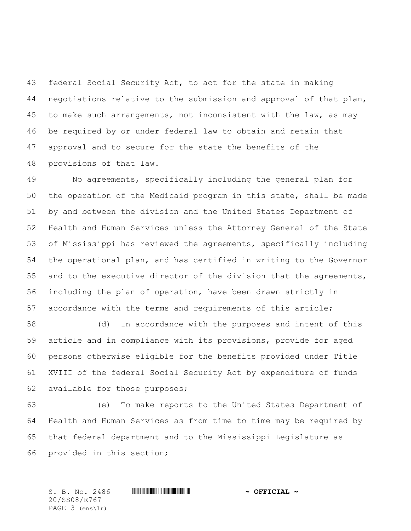federal Social Security Act, to act for the state in making negotiations relative to the submission and approval of that plan, to make such arrangements, not inconsistent with the law, as may be required by or under federal law to obtain and retain that approval and to secure for the state the benefits of the provisions of that law**.**

 No agreements, specifically including the general plan for the operation of the Medicaid program in this state, shall be made by and between the division and the United States Department of Health and Human Services unless the Attorney General of the State of Mississippi has reviewed the agreements, specifically including the operational plan, and has certified in writing to the Governor and to the executive director of the division that the agreements, including the plan of operation, have been drawn strictly in accordance with the terms and requirements of this article;

 (d) In accordance with the purposes and intent of this article and in compliance with its provisions, provide for aged persons otherwise eligible for the benefits provided under Title XVIII of the federal Social Security Act by expenditure of funds available for those purposes;

 (e) To make reports to the United States Department of Health and Human Services as from time to time may be required by that federal department and to the Mississippi Legislature as provided in this section;

20/SS08/R767 PAGE 3 (ens\lr)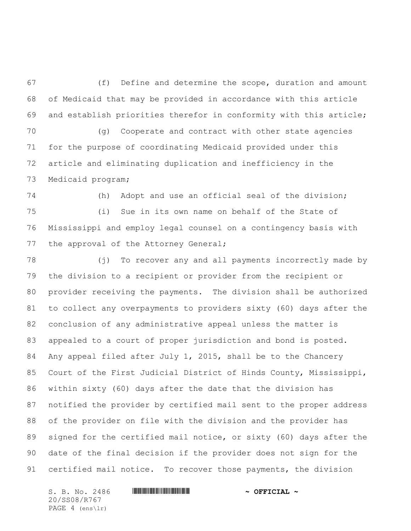(f) Define and determine the scope, duration and amount of Medicaid that may be provided in accordance with this article and establish priorities therefor in conformity with this article;

 (g) Cooperate and contract with other state agencies for the purpose of coordinating Medicaid provided under this article and eliminating duplication and inefficiency in the Medicaid program;

 (h) Adopt and use an official seal of the division; (i) Sue in its own name on behalf of the State of Mississippi and employ legal counsel on a contingency basis with 77 the approval of the Attorney General;

 (j) To recover any and all payments incorrectly made by the division to a recipient or provider from the recipient or provider receiving the payments. The division shall be authorized to collect any overpayments to providers sixty (60) days after the conclusion of any administrative appeal unless the matter is appealed to a court of proper jurisdiction and bond is posted. Any appeal filed after July 1, 2015, shall be to the Chancery Court of the First Judicial District of Hinds County, Mississippi, within sixty (60) days after the date that the division has notified the provider by certified mail sent to the proper address of the provider on file with the division and the provider has signed for the certified mail notice, or sixty (60) days after the date of the final decision if the provider does not sign for the certified mail notice. To recover those payments, the division

20/SS08/R767 PAGE 4 (ens\lr)

S. B. No. 2486 **\*\*\* AND \*\*\* AND \*\*\* AND \*\*\* OFFICIAL ~\***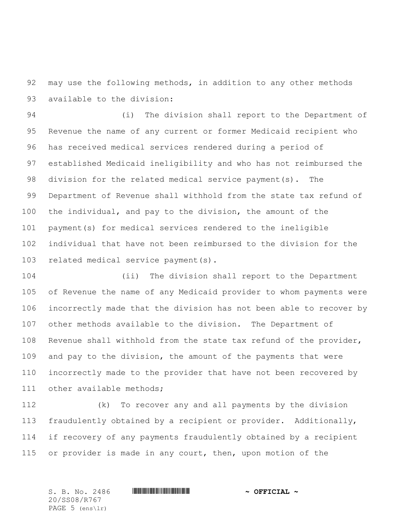may use the following methods, in addition to any other methods available to the division:

 (i) The division shall report to the Department of Revenue the name of any current or former Medicaid recipient who has received medical services rendered during a period of established Medicaid ineligibility and who has not reimbursed the division for the related medical service payment(s). The Department of Revenue shall withhold from the state tax refund of the individual, and pay to the division, the amount of the payment(s) for medical services rendered to the ineligible individual that have not been reimbursed to the division for the related medical service payment(s).

 (ii) The division shall report to the Department of Revenue the name of any Medicaid provider to whom payments were incorrectly made that the division has not been able to recover by other methods available to the division. The Department of Revenue shall withhold from the state tax refund of the provider, and pay to the division, the amount of the payments that were incorrectly made to the provider that have not been recovered by 111 other available methods;

 (k) To recover any and all payments by the division fraudulently obtained by a recipient or provider. Additionally, if recovery of any payments fraudulently obtained by a recipient or provider is made in any court, then, upon motion of the

S. B. No. 2486 \*SS08/R767\* **~ OFFICIAL ~** 20/SS08/R767 PAGE 5 (ens\lr)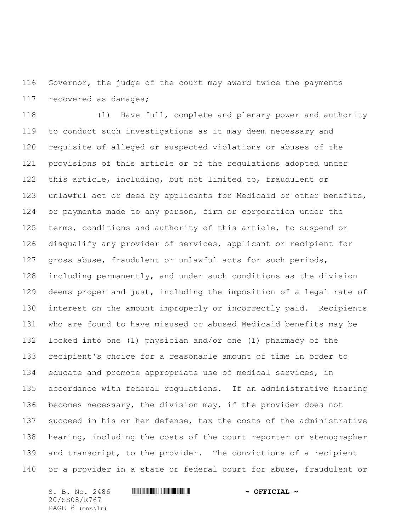Governor, the judge of the court may award twice the payments recovered as damages;

 (l) Have full, complete and plenary power and authority to conduct such investigations as it may deem necessary and requisite of alleged or suspected violations or abuses of the provisions of this article or of the regulations adopted under this article, including, but not limited to, fraudulent or unlawful act or deed by applicants for Medicaid or other benefits, or payments made to any person, firm or corporation under the terms, conditions and authority of this article, to suspend or disqualify any provider of services, applicant or recipient for gross abuse, fraudulent or unlawful acts for such periods, including permanently, and under such conditions as the division deems proper and just, including the imposition of a legal rate of interest on the amount improperly or incorrectly paid. Recipients who are found to have misused or abused Medicaid benefits may be locked into one (1) physician and/or one (1) pharmacy of the recipient's choice for a reasonable amount of time in order to educate and promote appropriate use of medical services, in accordance with federal regulations. If an administrative hearing becomes necessary, the division may, if the provider does not succeed in his or her defense, tax the costs of the administrative hearing, including the costs of the court reporter or stenographer and transcript, to the provider. The convictions of a recipient or a provider in a state or federal court for abuse, fraudulent or

S. B. No. 2486 **\*\*\* AND \*\*\* AND \*\*\* AND \*\*\* OFFICIAL ~\*** 20/SS08/R767 PAGE 6 (ens\lr)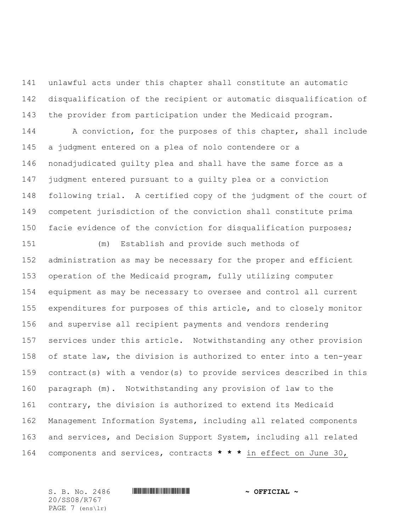unlawful acts under this chapter shall constitute an automatic disqualification of the recipient or automatic disqualification of the provider from participation under the Medicaid program.

 A conviction, for the purposes of this chapter, shall include a judgment entered on a plea of nolo contendere or a nonadjudicated guilty plea and shall have the same force as a judgment entered pursuant to a guilty plea or a conviction following trial. A certified copy of the judgment of the court of competent jurisdiction of the conviction shall constitute prima facie evidence of the conviction for disqualification purposes;

 (m) Establish and provide such methods of administration as may be necessary for the proper and efficient operation of the Medicaid program, fully utilizing computer equipment as may be necessary to oversee and control all current expenditures for purposes of this article, and to closely monitor and supervise all recipient payments and vendors rendering services under this article. Notwithstanding any other provision of state law, the division is authorized to enter into a ten-year contract(s) with a vendor(s) to provide services described in this paragraph (m). Notwithstanding any provision of law to the contrary, the division is authorized to extend its Medicaid Management Information Systems, including all related components and services, and Decision Support System, including all related components and services, contracts **\* \* \*** in effect on June 30,

20/SS08/R767 PAGE 7 (ens\lr)

## $S. B. No. 2486$  **\*Social and the solution of the set of**  $\sim$  **Official**  $\sim$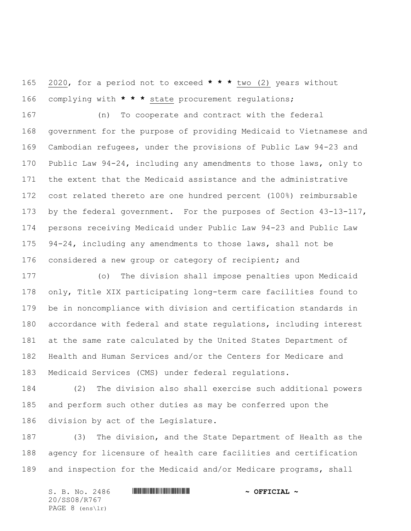2020, for a period not to exceed **\* \* \*** two (2) years without complying with **\* \* \*** state procurement regulations;

 (n) To cooperate and contract with the federal government for the purpose of providing Medicaid to Vietnamese and Cambodian refugees, under the provisions of Public Law 94-23 and Public Law 94-24, including any amendments to those laws, only to the extent that the Medicaid assistance and the administrative cost related thereto are one hundred percent (100%) reimbursable by the federal government. For the purposes of Section 43-13-117, persons receiving Medicaid under Public Law 94-23 and Public Law 94-24, including any amendments to those laws, shall not be 176 considered a new group or category of recipient; and

 (o) The division shall impose penalties upon Medicaid only, Title XIX participating long-term care facilities found to be in noncompliance with division and certification standards in accordance with federal and state regulations, including interest at the same rate calculated by the United States Department of Health and Human Services and/or the Centers for Medicare and Medicaid Services (CMS) under federal regulations.

 (2) The division also shall exercise such additional powers and perform such other duties as may be conferred upon the division by act of the Legislature.

 (3) The division, and the State Department of Health as the agency for licensure of health care facilities and certification and inspection for the Medicaid and/or Medicare programs, shall

S. B. No. 2486 **\*\*\* AND \*\*\* AND \*\*\* AND \*\*\* OFFICIAL ~\*** 20/SS08/R767 PAGE 8 (ens\lr)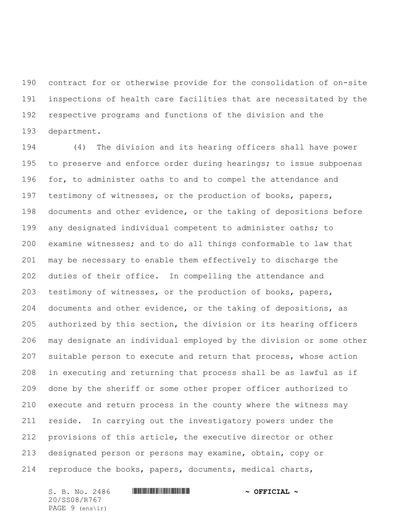contract for or otherwise provide for the consolidation of on-site inspections of health care facilities that are necessitated by the respective programs and functions of the division and the department.

 (4) The division and its hearing officers shall have power 195 to preserve and enforce order during hearings; to issue subpoenas for, to administer oaths to and to compel the attendance and testimony of witnesses, or the production of books, papers, documents and other evidence, or the taking of depositions before any designated individual competent to administer oaths; to examine witnesses; and to do all things conformable to law that may be necessary to enable them effectively to discharge the duties of their office. In compelling the attendance and testimony of witnesses, or the production of books, papers, documents and other evidence, or the taking of depositions, as authorized by this section, the division or its hearing officers may designate an individual employed by the division or some other suitable person to execute and return that process, whose action in executing and returning that process shall be as lawful as if done by the sheriff or some other proper officer authorized to execute and return process in the county where the witness may reside. In carrying out the investigatory powers under the provisions of this article, the executive director or other designated person or persons may examine, obtain, copy or reproduce the books, papers, documents, medical charts,

S. B. No. 2486 **\*\*\* AND \*\*\* AND \*\*\* AND \*\*\* OFFICIAL ~\*** 20/SS08/R767 PAGE 9 (ens\lr)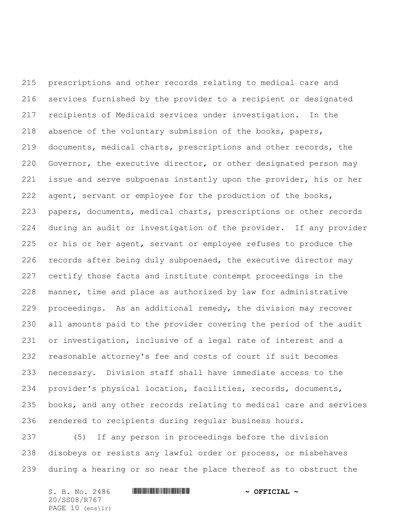prescriptions and other records relating to medical care and services furnished by the provider to a recipient or designated recipients of Medicaid services under investigation. In the absence of the voluntary submission of the books, papers, documents, medical charts, prescriptions and other records, the Governor, the executive director, or other designated person may issue and serve subpoenas instantly upon the provider, his or her 222 agent, servant or employee for the production of the books, papers, documents, medical charts, prescriptions or other records during an audit or investigation of the provider. If any provider or his or her agent, servant or employee refuses to produce the records after being duly subpoenaed, the executive director may certify those facts and institute contempt proceedings in the manner, time and place as authorized by law for administrative proceedings. As an additional remedy, the division may recover all amounts paid to the provider covering the period of the audit or investigation, inclusive of a legal rate of interest and a reasonable attorney's fee and costs of court if suit becomes necessary. Division staff shall have immediate access to the provider's physical location, facilities, records, documents, books, and any other records relating to medical care and services rendered to recipients during regular business hours.

 (5) If any person in proceedings before the division disobeys or resists any lawful order or process, or misbehaves during a hearing or so near the place thereof as to obstruct the

 $S. B. No. 2486$  **\*Social and the solution of the set of**  $\sim$  **Official**  $\sim$ 20/SS08/R767 PAGE 10 (ens\lr)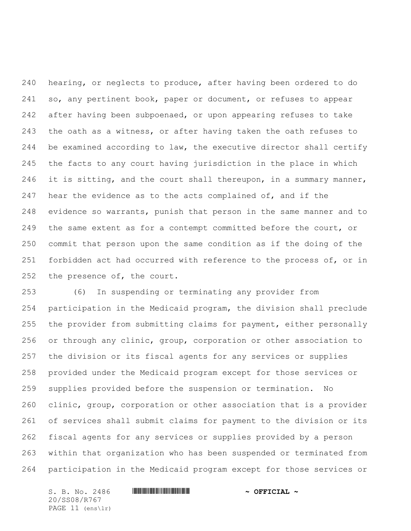hearing, or neglects to produce, after having been ordered to do so, any pertinent book, paper or document, or refuses to appear after having been subpoenaed, or upon appearing refuses to take the oath as a witness, or after having taken the oath refuses to be examined according to law, the executive director shall certify the facts to any court having jurisdiction in the place in which 246 it is sitting, and the court shall thereupon, in a summary manner, 247 hear the evidence as to the acts complained of, and if the evidence so warrants, punish that person in the same manner and to 249 the same extent as for a contempt committed before the court, or commit that person upon the same condition as if the doing of the forbidden act had occurred with reference to the process of, or in 252 the presence of, the court.

 (6) In suspending or terminating any provider from participation in the Medicaid program, the division shall preclude the provider from submitting claims for payment, either personally or through any clinic, group, corporation or other association to the division or its fiscal agents for any services or supplies provided under the Medicaid program except for those services or supplies provided before the suspension or termination. No clinic, group, corporation or other association that is a provider of services shall submit claims for payment to the division or its fiscal agents for any services or supplies provided by a person within that organization who has been suspended or terminated from participation in the Medicaid program except for those services or

S. B. No. 2486 **\*\*\* AND \*\*\* AND \*\*\* AND \*\*\* OFFICIAL ~\*** 20/SS08/R767 PAGE 11 (ens\lr)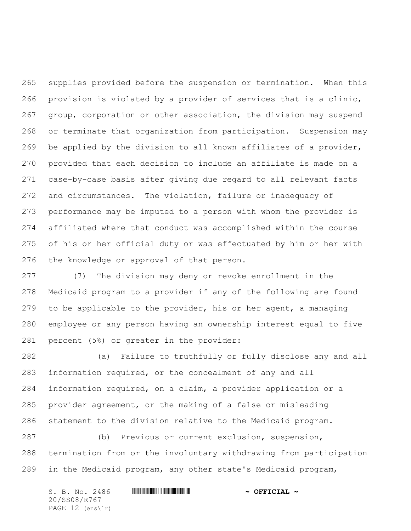supplies provided before the suspension or termination. When this provision is violated by a provider of services that is a clinic, group, corporation or other association, the division may suspend or terminate that organization from participation. Suspension may be applied by the division to all known affiliates of a provider, provided that each decision to include an affiliate is made on a case-by-case basis after giving due regard to all relevant facts and circumstances. The violation, failure or inadequacy of performance may be imputed to a person with whom the provider is affiliated where that conduct was accomplished within the course of his or her official duty or was effectuated by him or her with the knowledge or approval of that person.

 (7) The division may deny or revoke enrollment in the Medicaid program to a provider if any of the following are found to be applicable to the provider, his or her agent, a managing employee or any person having an ownership interest equal to five percent (5%) or greater in the provider:

 (a) Failure to truthfully or fully disclose any and all information required, or the concealment of any and all information required, on a claim, a provider application or a provider agreement, or the making of a false or misleading statement to the division relative to the Medicaid program.

 (b) Previous or current exclusion, suspension, termination from or the involuntary withdrawing from participation in the Medicaid program, any other state's Medicaid program,

S. B. No. 2486 **\*\*\* AND \*\*\* AND \*\*\* AND \*\*\* OFFICIAL ~\*** 20/SS08/R767 PAGE 12 (ens\lr)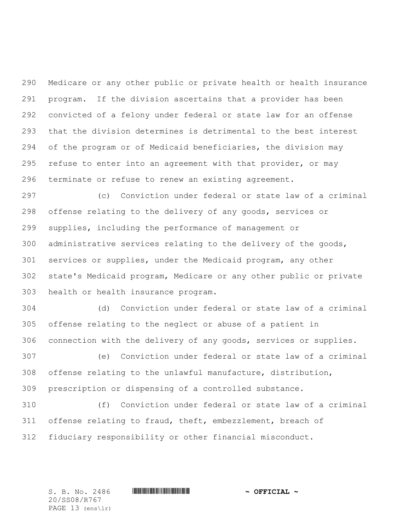Medicare or any other public or private health or health insurance program. If the division ascertains that a provider has been convicted of a felony under federal or state law for an offense that the division determines is detrimental to the best interest of the program or of Medicaid beneficiaries, the division may refuse to enter into an agreement with that provider, or may terminate or refuse to renew an existing agreement.

 (c) Conviction under federal or state law of a criminal offense relating to the delivery of any goods, services or supplies, including the performance of management or administrative services relating to the delivery of the goods, services or supplies, under the Medicaid program, any other state's Medicaid program, Medicare or any other public or private health or health insurance program.

 (d) Conviction under federal or state law of a criminal offense relating to the neglect or abuse of a patient in connection with the delivery of any goods, services or supplies.

 (e) Conviction under federal or state law of a criminal offense relating to the unlawful manufacture, distribution, prescription or dispensing of a controlled substance.

 (f) Conviction under federal or state law of a criminal offense relating to fraud, theft, embezzlement, breach of fiduciary responsibility or other financial misconduct.

20/SS08/R767 PAGE 13 (ens\lr)

 $S. B. No. 2486$  **\*Social and the solution of the set of**  $\sim$  **Official**  $\sim$